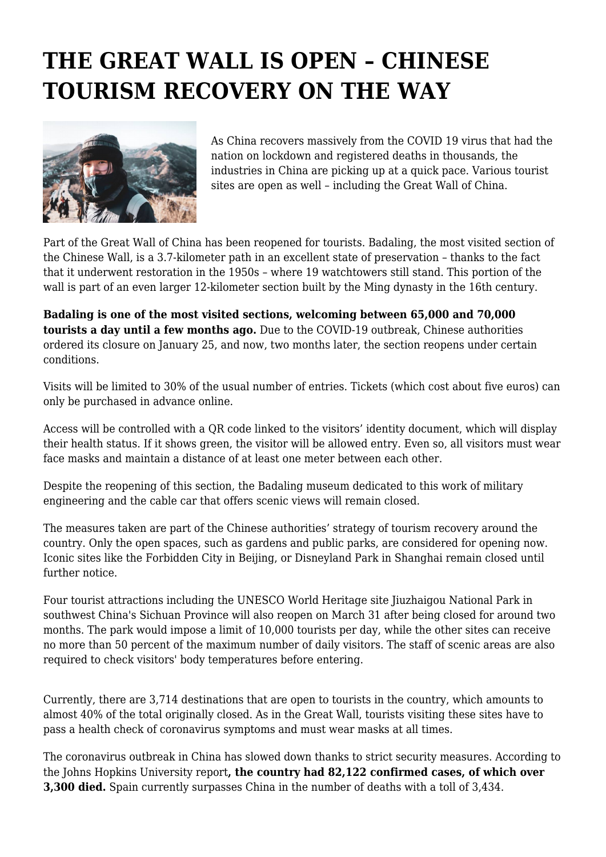## **THE GREAT WALL IS OPEN – CHINESE TOURISM RECOVERY ON THE WAY**



As China recovers massively from the COVID 19 virus that had the nation on lockdown and registered deaths in thousands, the industries in China are picking up at a quick pace. Various tourist sites are open as well – including the Great Wall of China.

Part of the Great Wall of China has been reopened for tourists. Badaling, the most visited section of the Chinese Wall, is a 3.7-kilometer path in an excellent state of preservation – thanks to the fact that it underwent restoration in the 1950s – where 19 watchtowers still stand. This portion of the wall is part of an even larger 12-kilometer section built by the Ming dynasty in the 16th century.

**Badaling is one of the most visited sections, welcoming between 65,000 and 70,000 tourists a day until a few months ago.** Due to the COVID-19 outbreak, Chinese authorities ordered its closure on January 25, and now, two months later, the section reopens under certain conditions.

Visits will be limited to 30% of the usual number of entries. Tickets (which cost about five euros) can only be purchased in advance online.

Access will be controlled with a QR code linked to the visitors' identity document, which will display their health status. If it shows green, the visitor will be allowed entry. Even so, all visitors must wear face masks and maintain a distance of at least one meter between each other.

Despite the reopening of this section, the Badaling museum dedicated to this work of military engineering and the cable car that offers scenic views will remain closed.

The measures taken are part of the Chinese authorities' strategy of tourism recovery around the country. Only the open spaces, such as gardens and public parks, are considered for opening now. Iconic sites like the Forbidden City in Beijing, or Disneyland Park in Shanghai remain closed until further notice.

Four tourist attractions including the UNESCO World Heritage site Jiuzhaigou National Park in southwest China's Sichuan Province will also reopen on March 31 after being closed for around two months. The park would impose a limit of 10,000 tourists per day, while the other sites can receive no more than 50 percent of the maximum number of daily visitors. The staff of scenic areas are also required to check visitors' body temperatures before entering.

Currently, there are 3,714 destinations that are open to tourists in the country, which amounts to almost 40% of the total originally closed. As in the Great Wall, tourists visiting these sites have to pass a health check of coronavirus symptoms and must wear masks at all times.

The coronavirus outbreak in China has slowed down thanks to strict security measures. According to the Johns Hopkins University report**, the country had 82,122 confirmed cases, of which over 3,300 died.** Spain currently surpasses China in the number of deaths with a toll of 3,434.